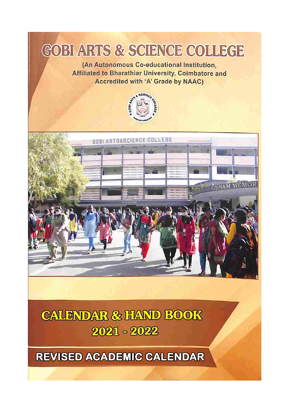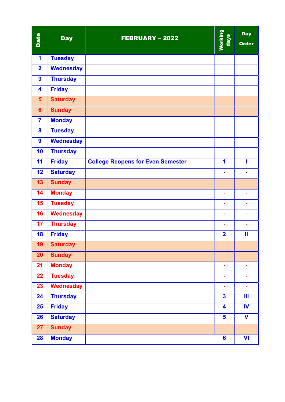| Date                    | <b>Day</b>       | <b>FEBRUARY - 2022</b>                   | Working<br>days         | <b>Day</b><br><b>Order</b> |
|-------------------------|------------------|------------------------------------------|-------------------------|----------------------------|
| $\blacktriangleleft$    | <b>Tuesday</b>   |                                          |                         |                            |
| $\overline{2}$          | <b>Wednesday</b> |                                          |                         |                            |
| $\overline{\mathbf{3}}$ | <b>Thursday</b>  |                                          |                         |                            |
| $\overline{\mathbf{4}}$ | <b>Friday</b>    |                                          |                         |                            |
| $5\phantom{1}$          | <b>Saturday</b>  |                                          |                         |                            |
| $6\phantom{1}$          | <b>Sunday</b>    |                                          |                         |                            |
| $\overline{7}$          | <b>Monday</b>    |                                          |                         |                            |
| 8                       | <b>Tuesday</b>   |                                          |                         |                            |
| $\boldsymbol{9}$        | <b>Wednesday</b> |                                          |                         |                            |
| 10                      | <b>Thursday</b>  |                                          |                         |                            |
| 11                      | <b>Friday</b>    | <b>College Reopens for Even Semester</b> | 1                       |                            |
| 12                      | <b>Saturday</b>  |                                          | ä,                      |                            |
| 13                      | <b>Sunday</b>    |                                          |                         |                            |
| 14                      | <b>Monday</b>    |                                          | ÷,                      |                            |
| 15                      | <b>Tuesday</b>   |                                          | $\blacksquare$          | $\blacksquare$             |
| 16                      | <b>Wednesday</b> |                                          | $\blacksquare$          |                            |
| 17                      | <b>Thursday</b>  |                                          | ÷                       |                            |
| 18                      | <b>Friday</b>    |                                          | $\overline{2}$          | $\mathbf l$                |
| 19                      | <b>Saturday</b>  |                                          |                         |                            |
| 20                      | <b>Sunday</b>    |                                          |                         |                            |
| 21                      | <b>Monday</b>    |                                          | $\blacksquare$          | ۰                          |
| 22                      | <b>Tuesday</b>   |                                          | ä,                      | ٠                          |
| 23                      | <b>Wednesday</b> |                                          | $\blacksquare$          | $\blacksquare$             |
| 24                      | <b>Thursday</b>  |                                          | $\overline{\mathbf{3}}$ | Ш                          |
| 25                      | <b>Friday</b>    |                                          | 4                       | IV                         |
| 26                      | <b>Saturday</b>  |                                          | 5                       | V                          |
| 27                      | <b>Sunday</b>    |                                          |                         |                            |
| 28                      | <b>Monday</b>    |                                          | $6\phantom{a}$          | $\mathsf{VI}$              |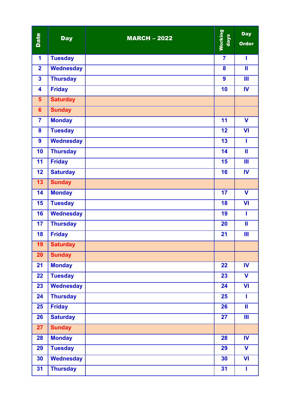| Date                    | <b>Day</b>       | <b>MARCH - 2022</b> | <b>Working</b><br>days | <b>Day</b><br><b>Order</b> |
|-------------------------|------------------|---------------------|------------------------|----------------------------|
| 1                       | <b>Tuesday</b>   |                     | $\overline{7}$         | ı                          |
| $\overline{\mathbf{2}}$ | Wednesday        |                     | 8                      | $\mathbf l$                |
| $\overline{\mathbf{3}}$ | <b>Thursday</b>  |                     | $\boldsymbol{9}$       | Ш                          |
| $\overline{\mathbf{4}}$ | <b>Friday</b>    |                     | 10                     | IV                         |
| 5 <sup>5</sup>          | <b>Saturday</b>  |                     |                        |                            |
| $6\phantom{1}$          | <b>Sunday</b>    |                     |                        |                            |
| $\overline{7}$          | <b>Monday</b>    |                     | 11                     | $\mathbf v$                |
| 8                       | <b>Tuesday</b>   |                     | 12                     | $\mathbf{V}$               |
| $\boldsymbol{9}$        | <b>Wednesday</b> |                     | 13                     | I                          |
| 10                      | <b>Thursday</b>  |                     | 14                     | Ш                          |
| 11                      | <b>Friday</b>    |                     | 15                     | Ш                          |
| 12                      | <b>Saturday</b>  |                     | 16                     | IV                         |
| 13                      | <b>Sunday</b>    |                     |                        |                            |
| 14                      | <b>Monday</b>    |                     | 17                     | $\mathbf v$                |
| 15                      | <b>Tuesday</b>   |                     | 18                     | VI                         |
| 16                      | <b>Wednesday</b> |                     | 19                     | ı                          |
| 17                      | <b>Thursday</b>  |                     | 20                     | $\mathbf{II}$              |
| 18                      | <b>Friday</b>    |                     | 21                     | Ш                          |
| 19                      | <b>Saturday</b>  |                     |                        |                            |
| 20                      | <b>Sunday</b>    |                     |                        |                            |
| 21                      | <b>Monday</b>    |                     | 22                     | $\mathbf{N}$               |
| 22                      | <b>Tuesday</b>   |                     | 23                     | $\mathbf V$                |
| 23                      | <b>Wednesday</b> |                     | 24                     | VI                         |
| 24                      | <b>Thursday</b>  |                     | 25                     | ı                          |
| 25                      | <b>Friday</b>    |                     | 26                     | Ш                          |
| 26                      | <b>Saturday</b>  |                     | 27                     | Ш                          |
| 27                      | <b>Sunday</b>    |                     |                        |                            |
| 28                      | <b>Monday</b>    |                     | 28                     | $\mathbf W$                |
| 29                      | <b>Tuesday</b>   |                     | 29                     | $\mathbf v$                |
| 30                      | <b>Wednesday</b> |                     | 30                     | VI                         |
| 31                      | <b>Thursday</b>  |                     | 31                     | I                          |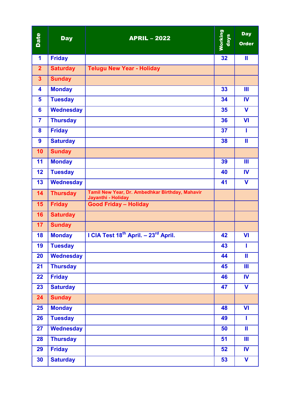| Date            | <b>Day</b>       | <b>APRIL - 2022</b>                                                   | <b>Working</b><br>days | <b>Day</b><br><b>Order</b> |
|-----------------|------------------|-----------------------------------------------------------------------|------------------------|----------------------------|
| 1               | <b>Friday</b>    |                                                                       | 32                     | $\mathbf{II}$              |
| 2 <sub>1</sub>  | <b>Saturday</b>  | <b>Telugu New Year - Holiday</b>                                      |                        |                            |
| 3 <sup>2</sup>  | <b>Sunday</b>    |                                                                       |                        |                            |
| 4               | <b>Monday</b>    |                                                                       | 33                     | $\mathbf{m}$               |
| 5               | <b>Tuesday</b>   |                                                                       | 34                     | <b>IV</b>                  |
| 6               | <b>Wednesday</b> |                                                                       | 35                     | $\mathbf v$                |
| $\overline{7}$  | <b>Thursday</b>  |                                                                       | 36                     | <b>VI</b>                  |
| 8               | <b>Friday</b>    |                                                                       | 37                     | ı                          |
| 9               | <b>Saturday</b>  |                                                                       | 38                     | $\mathbf{II}$              |
| 10              | <b>Sunday</b>    |                                                                       |                        |                            |
| 11              | <b>Monday</b>    |                                                                       | 39                     | Ш                          |
| 12              | <b>Tuesday</b>   |                                                                       | 40                     | <b>IV</b>                  |
| 13              | <b>Wednesday</b> |                                                                       | 41                     | $\mathbf V$                |
| 14              | <b>Thursday</b>  | Tamil New Year, Dr. Ambedhkar Birthday, Mahavir<br>Jayanthi - Holiday |                        |                            |
| 15 <sub>1</sub> | <b>Friday</b>    | <b>Good Friday - Holiday</b>                                          |                        |                            |
| 16              | <b>Saturday</b>  |                                                                       |                        |                            |
| 17              | <b>Sunday</b>    |                                                                       |                        |                            |
| 18              | <b>Monday</b>    | I CIA Test 18 <sup>th</sup> April. - 23 <sup>rd</sup> April.          | 42                     | VI                         |
| 19              | <b>Tuesday</b>   |                                                                       | 43                     | ı                          |
| 20              | <b>Wednesday</b> |                                                                       | 44                     | Ш                          |
| 21              | <b>Thursday</b>  |                                                                       | 45                     | Ш                          |
| 22              | <b>Friday</b>    |                                                                       | 46                     | IV                         |
| 23              | <b>Saturday</b>  |                                                                       | 47                     | $\mathbf V$                |
| 24              | <b>Sunday</b>    |                                                                       |                        |                            |
| 25              | <b>Monday</b>    |                                                                       | 48                     | VI                         |
| 26              | <b>Tuesday</b>   |                                                                       | 49                     | ı                          |
| 27              | <b>Wednesday</b> |                                                                       | 50                     | Ш                          |
| 28              | <b>Thursday</b>  |                                                                       | 51                     | Ш                          |
| 29              | <b>Friday</b>    |                                                                       | 52                     | <b>IV</b>                  |
| 30              | <b>Saturday</b>  |                                                                       | $\overline{53}$        | $\overline{\mathbf{V}}$    |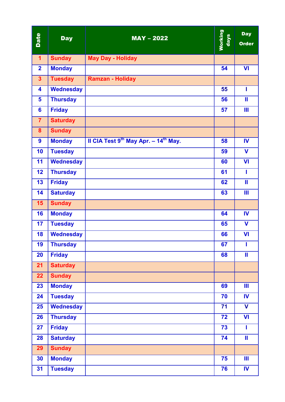| Date                    | <b>Day</b>       | $MAY - 2022$                                                  | <b>Working</b><br>days | <b>Day</b><br><b>Order</b> |
|-------------------------|------------------|---------------------------------------------------------------|------------------------|----------------------------|
| $\mathbf{1}$            | <b>Sunday</b>    | <b>May Day - Holiday</b>                                      |                        |                            |
| $\overline{2}$          | <b>Monday</b>    |                                                               | 54                     | <b>VI</b>                  |
| $\overline{\mathbf{3}}$ | <b>Tuesday</b>   | <b>Ramzan - Holiday</b>                                       |                        |                            |
| $\overline{\mathbf{4}}$ | <b>Wednesday</b> |                                                               | 55                     | T                          |
| 5                       | <b>Thursday</b>  |                                                               | 56                     | $\mathbf{II}$              |
| $6\phantom{a}$          | <b>Friday</b>    |                                                               | 57                     | Ш                          |
| $\overline{7}$          | <b>Saturday</b>  |                                                               |                        |                            |
| 8                       | <b>Sunday</b>    |                                                               |                        |                            |
| 9                       | <b>Monday</b>    | II CIA Test 9 <sup>th</sup> May Apr. $-14$ <sup>th</sup> May. | 58                     | IV                         |
| 10                      | <b>Tuesday</b>   |                                                               | 59                     | $\mathbf V$                |
| 11                      | <b>Wednesday</b> |                                                               | 60                     | $\mathsf{V}$               |
| 12                      | <b>Thursday</b>  |                                                               | 61                     | ı                          |
| 13                      | <b>Friday</b>    |                                                               | 62                     | Ш                          |
| 14                      | <b>Saturday</b>  |                                                               | 63                     | Ш                          |
| 15                      | <b>Sunday</b>    |                                                               |                        |                            |
| 16                      | <b>Monday</b>    |                                                               | 64                     | <b>IV</b>                  |
| 17                      | <b>Tuesday</b>   |                                                               | 65                     | $\mathbf V$                |
| 18                      | <b>Wednesday</b> |                                                               | 66                     | VI                         |
| 19                      | <b>Thursday</b>  |                                                               | 67                     | ı                          |
| 20                      | <b>Friday</b>    |                                                               | 68                     | $\mathbf{II}$              |
| 21                      | <b>Saturday</b>  |                                                               |                        |                            |
| 22                      | <b>Sunday</b>    |                                                               |                        |                            |
| 23                      | <b>Monday</b>    |                                                               | 69                     | $\mathbf{III}$             |
| 24                      | <b>Tuesday</b>   |                                                               | 70                     | IV                         |
| 25                      | <b>Wednesday</b> |                                                               | 71                     | $\mathbf V$                |
| 26                      | <b>Thursday</b>  |                                                               | 72                     | $\mathbf{V}$               |
| 27                      | <b>Friday</b>    |                                                               | 73                     | T                          |
| 28                      | <b>Saturday</b>  |                                                               | 74                     | $\mathbf{II}$              |
| 29                      | <b>Sunday</b>    |                                                               |                        |                            |
| 30                      | <b>Monday</b>    |                                                               | 75                     | Ш                          |
| 31                      | <b>Tuesday</b>   |                                                               | 76                     | IV                         |